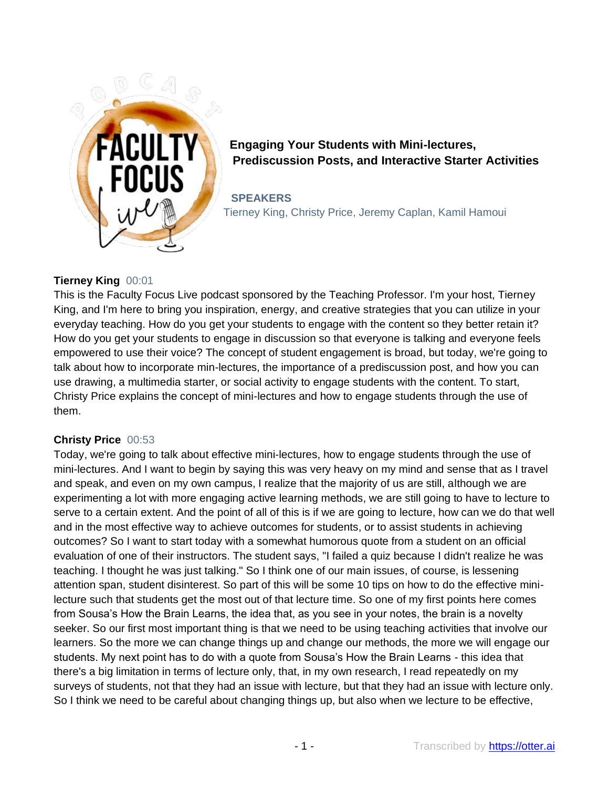

**Engaging Your Students with Mini-lectures, Prediscussion Posts, and Interactive Starter Activities**

**SPEAKERS** Tierney King, Christy Price, Jeremy Caplan, Kamil Hamoui

# **Tierney King** 00:01

This is the Faculty Focus Live podcast sponsored by the Teaching Professor. I'm your host, Tierney King, and I'm here to bring you inspiration, energy, and creative strategies that you can utilize in your everyday teaching. How do you get your students to engage with the content so they better retain it? How do you get your students to engage in discussion so that everyone is talking and everyone feels empowered to use their voice? The concept of student engagement is broad, but today, we're going to talk about how to incorporate min-lectures, the importance of a prediscussion post, and how you can use drawing, a multimedia starter, or social activity to engage students with the content. To start, Christy Price explains the concept of mini-lectures and how to engage students through the use of them.

## **Christy Price** 00:53

Today, we're going to talk about effective mini-lectures, how to engage students through the use of mini-lectures. And I want to begin by saying this was very heavy on my mind and sense that as I travel and speak, and even on my own campus, I realize that the majority of us are still, although we are experimenting a lot with more engaging active learning methods, we are still going to have to lecture to serve to a certain extent. And the point of all of this is if we are going to lecture, how can we do that well and in the most effective way to achieve outcomes for students, or to assist students in achieving outcomes? So I want to start today with a somewhat humorous quote from a student on an official evaluation of one of their instructors. The student says, "I failed a quiz because I didn't realize he was teaching. I thought he was just talking." So I think one of our main issues, of course, is lessening attention span, student disinterest. So part of this will be some 10 tips on how to do the effective minilecture such that students get the most out of that lecture time. So one of my first points here comes from Sousa's How the Brain Learns, the idea that, as you see in your notes, the brain is a novelty seeker. So our first most important thing is that we need to be using teaching activities that involve our learners. So the more we can change things up and change our methods, the more we will engage our students. My next point has to do with a quote from Sousa's How the Brain Learns - this idea that there's a big limitation in terms of lecture only, that, in my own research, I read repeatedly on my surveys of students, not that they had an issue with lecture, but that they had an issue with lecture only. So I think we need to be careful about changing things up, but also when we lecture to be effective,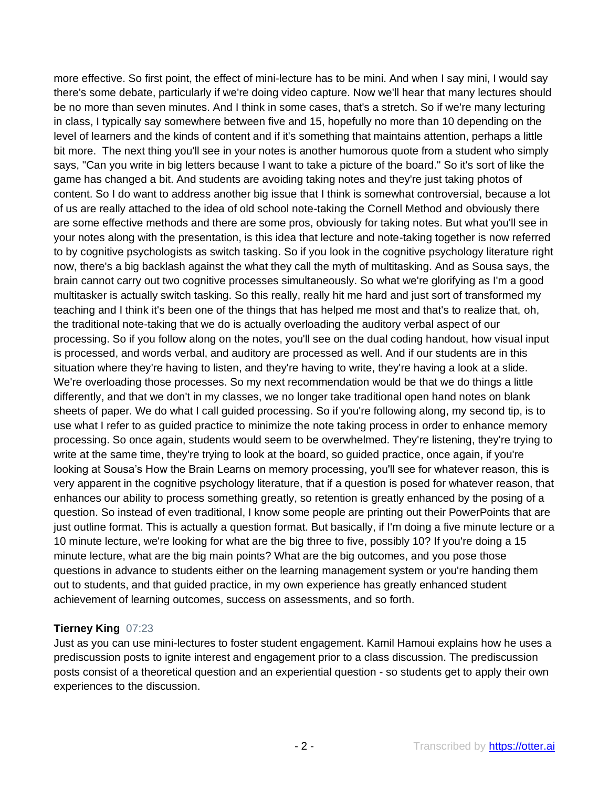more effective. So first point, the effect of mini-lecture has to be mini. And when I say mini, I would say there's some debate, particularly if we're doing video capture. Now we'll hear that many lectures should be no more than seven minutes. And I think in some cases, that's a stretch. So if we're many lecturing in class, I typically say somewhere between five and 15, hopefully no more than 10 depending on the level of learners and the kinds of content and if it's something that maintains attention, perhaps a little bit more. The next thing you'll see in your notes is another humorous quote from a student who simply says, "Can you write in big letters because I want to take a picture of the board." So it's sort of like the game has changed a bit. And students are avoiding taking notes and they're just taking photos of content. So I do want to address another big issue that I think is somewhat controversial, because a lot of us are really attached to the idea of old school note-taking the Cornell Method and obviously there are some effective methods and there are some pros, obviously for taking notes. But what you'll see in your notes along with the presentation, is this idea that lecture and note-taking together is now referred to by cognitive psychologists as switch tasking. So if you look in the cognitive psychology literature right now, there's a big backlash against the what they call the myth of multitasking. And as Sousa says, the brain cannot carry out two cognitive processes simultaneously. So what we're glorifying as I'm a good multitasker is actually switch tasking. So this really, really hit me hard and just sort of transformed my teaching and I think it's been one of the things that has helped me most and that's to realize that, oh, the traditional note-taking that we do is actually overloading the auditory verbal aspect of our processing. So if you follow along on the notes, you'll see on the dual coding handout, how visual input is processed, and words verbal, and auditory are processed as well. And if our students are in this situation where they're having to listen, and they're having to write, they're having a look at a slide. We're overloading those processes. So my next recommendation would be that we do things a little differently, and that we don't in my classes, we no longer take traditional open hand notes on blank sheets of paper. We do what I call guided processing. So if you're following along, my second tip, is to use what I refer to as guided practice to minimize the note taking process in order to enhance memory processing. So once again, students would seem to be overwhelmed. They're listening, they're trying to write at the same time, they're trying to look at the board, so guided practice, once again, if you're looking at Sousa's How the Brain Learns on memory processing, you'll see for whatever reason, this is very apparent in the cognitive psychology literature, that if a question is posed for whatever reason, that enhances our ability to process something greatly, so retention is greatly enhanced by the posing of a question. So instead of even traditional, I know some people are printing out their PowerPoints that are just outline format. This is actually a question format. But basically, if I'm doing a five minute lecture or a 10 minute lecture, we're looking for what are the big three to five, possibly 10? If you're doing a 15 minute lecture, what are the big main points? What are the big outcomes, and you pose those questions in advance to students either on the learning management system or you're handing them out to students, and that guided practice, in my own experience has greatly enhanced student achievement of learning outcomes, success on assessments, and so forth.

## **Tierney King** 07:23

Just as you can use mini-lectures to foster student engagement. Kamil Hamoui explains how he uses a prediscussion posts to ignite interest and engagement prior to a class discussion. The prediscussion posts consist of a theoretical question and an experiential question - so students get to apply their own experiences to the discussion.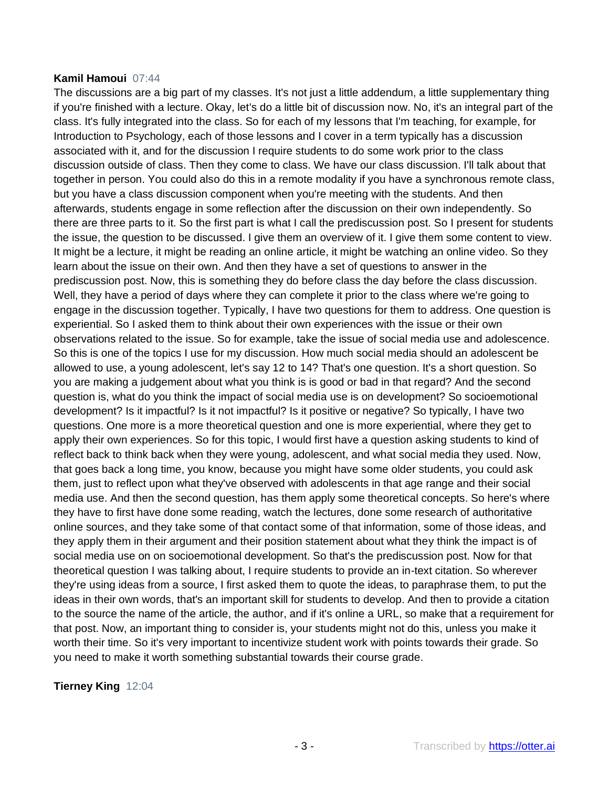#### **Kamil Hamoui** 07:44

The discussions are a big part of my classes. It's not just a little addendum, a little supplementary thing if you're finished with a lecture. Okay, let's do a little bit of discussion now. No, it's an integral part of the class. It's fully integrated into the class. So for each of my lessons that I'm teaching, for example, for Introduction to Psychology, each of those lessons and I cover in a term typically has a discussion associated with it, and for the discussion I require students to do some work prior to the class discussion outside of class. Then they come to class. We have our class discussion. I'll talk about that together in person. You could also do this in a remote modality if you have a synchronous remote class, but you have a class discussion component when you're meeting with the students. And then afterwards, students engage in some reflection after the discussion on their own independently. So there are three parts to it. So the first part is what I call the prediscussion post. So I present for students the issue, the question to be discussed. I give them an overview of it. I give them some content to view. It might be a lecture, it might be reading an online article, it might be watching an online video. So they learn about the issue on their own. And then they have a set of questions to answer in the prediscussion post. Now, this is something they do before class the day before the class discussion. Well, they have a period of days where they can complete it prior to the class where we're going to engage in the discussion together. Typically, I have two questions for them to address. One question is experiential. So I asked them to think about their own experiences with the issue or their own observations related to the issue. So for example, take the issue of social media use and adolescence. So this is one of the topics I use for my discussion. How much social media should an adolescent be allowed to use, a young adolescent, let's say 12 to 14? That's one question. It's a short question. So you are making a judgement about what you think is is good or bad in that regard? And the second question is, what do you think the impact of social media use is on development? So socioemotional development? Is it impactful? Is it not impactful? Is it positive or negative? So typically, I have two questions. One more is a more theoretical question and one is more experiential, where they get to apply their own experiences. So for this topic, I would first have a question asking students to kind of reflect back to think back when they were young, adolescent, and what social media they used. Now, that goes back a long time, you know, because you might have some older students, you could ask them, just to reflect upon what they've observed with adolescents in that age range and their social media use. And then the second question, has them apply some theoretical concepts. So here's where they have to first have done some reading, watch the lectures, done some research of authoritative online sources, and they take some of that contact some of that information, some of those ideas, and they apply them in their argument and their position statement about what they think the impact is of social media use on on socioemotional development. So that's the prediscussion post. Now for that theoretical question I was talking about, I require students to provide an in-text citation. So wherever they're using ideas from a source, I first asked them to quote the ideas, to paraphrase them, to put the ideas in their own words, that's an important skill for students to develop. And then to provide a citation to the source the name of the article, the author, and if it's online a URL, so make that a requirement for that post. Now, an important thing to consider is, your students might not do this, unless you make it worth their time. So it's very important to incentivize student work with points towards their grade. So you need to make it worth something substantial towards their course grade.

## **Tierney King** 12:04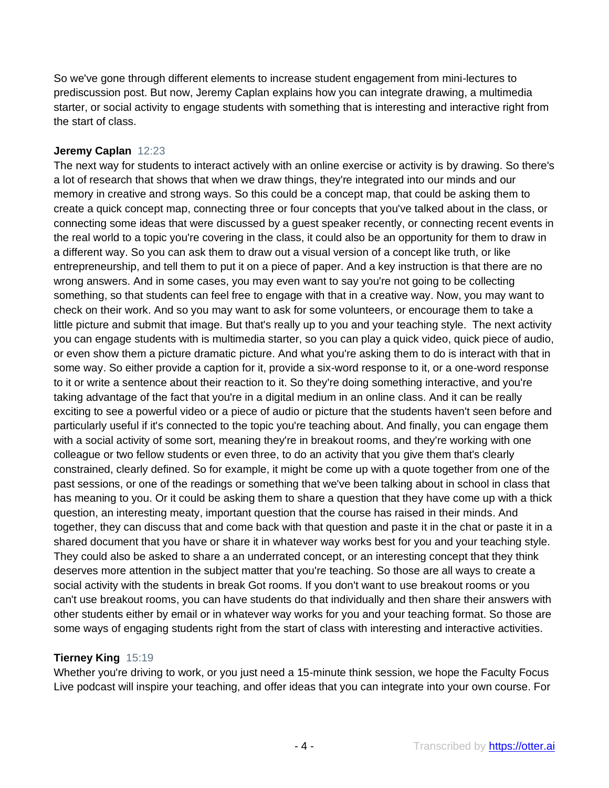So we've gone through different elements to increase student engagement from mini-lectures to prediscussion post. But now, Jeremy Caplan explains how you can integrate drawing, a multimedia starter, or social activity to engage students with something that is interesting and interactive right from the start of class.

## **Jeremy Caplan** 12:23

The next way for students to interact actively with an online exercise or activity is by drawing. So there's a lot of research that shows that when we draw things, they're integrated into our minds and our memory in creative and strong ways. So this could be a concept map, that could be asking them to create a quick concept map, connecting three or four concepts that you've talked about in the class, or connecting some ideas that were discussed by a guest speaker recently, or connecting recent events in the real world to a topic you're covering in the class, it could also be an opportunity for them to draw in a different way. So you can ask them to draw out a visual version of a concept like truth, or like entrepreneurship, and tell them to put it on a piece of paper. And a key instruction is that there are no wrong answers. And in some cases, you may even want to say you're not going to be collecting something, so that students can feel free to engage with that in a creative way. Now, you may want to check on their work. And so you may want to ask for some volunteers, or encourage them to take a little picture and submit that image. But that's really up to you and your teaching style. The next activity you can engage students with is multimedia starter, so you can play a quick video, quick piece of audio, or even show them a picture dramatic picture. And what you're asking them to do is interact with that in some way. So either provide a caption for it, provide a six-word response to it, or a one-word response to it or write a sentence about their reaction to it. So they're doing something interactive, and you're taking advantage of the fact that you're in a digital medium in an online class. And it can be really exciting to see a powerful video or a piece of audio or picture that the students haven't seen before and particularly useful if it's connected to the topic you're teaching about. And finally, you can engage them with a social activity of some sort, meaning they're in breakout rooms, and they're working with one colleague or two fellow students or even three, to do an activity that you give them that's clearly constrained, clearly defined. So for example, it might be come up with a quote together from one of the past sessions, or one of the readings or something that we've been talking about in school in class that has meaning to you. Or it could be asking them to share a question that they have come up with a thick question, an interesting meaty, important question that the course has raised in their minds. And together, they can discuss that and come back with that question and paste it in the chat or paste it in a shared document that you have or share it in whatever way works best for you and your teaching style. They could also be asked to share a an underrated concept, or an interesting concept that they think deserves more attention in the subject matter that you're teaching. So those are all ways to create a social activity with the students in break Got rooms. If you don't want to use breakout rooms or you can't use breakout rooms, you can have students do that individually and then share their answers with other students either by email or in whatever way works for you and your teaching format. So those are some ways of engaging students right from the start of class with interesting and interactive activities.

## **Tierney King** 15:19

Whether you're driving to work, or you just need a 15-minute think session, we hope the Faculty Focus Live podcast will inspire your teaching, and offer ideas that you can integrate into your own course. For